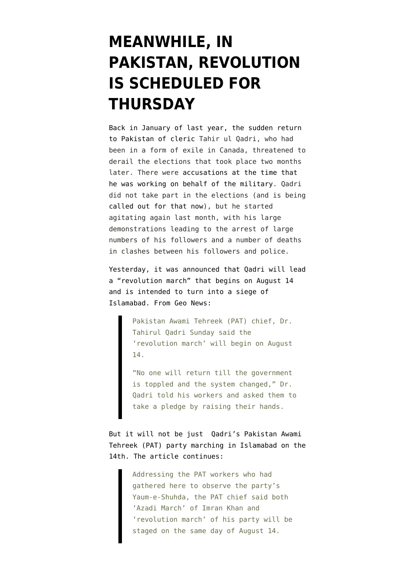## **[MEANWHILE, IN](https://www.emptywheel.net/2014/08/11/meanwhile-in-pakistan-revolution-is-scheduled-for-thursday/) [PAKISTAN, REVOLUTION](https://www.emptywheel.net/2014/08/11/meanwhile-in-pakistan-revolution-is-scheduled-for-thursday/) [IS SCHEDULED FOR](https://www.emptywheel.net/2014/08/11/meanwhile-in-pakistan-revolution-is-scheduled-for-thursday/) [THURSDAY](https://www.emptywheel.net/2014/08/11/meanwhile-in-pakistan-revolution-is-scheduled-for-thursday/)**

Back in January of last year, the sudden return to Pakistan of cleric Tahir ul Qadri, who had been in a form of exile in Canada, threatened to derail the elections that took place two months later. There were [accusations at the time that](http://www.emptywheel.net/2013/01/15/massive-demonstrations-arrest-warrant-for-prime-minister-threaten-upcoming-pakistan-elections/) [he was working on behalf of the military.](http://www.emptywheel.net/2013/01/15/massive-demonstrations-arrest-warrant-for-prime-minister-threaten-upcoming-pakistan-elections/) Qadri did not take part in the elections (and is being [called out for that now\)](http://tribune.com.pk/story/747142/pm-nawaz-says-qadri-should-have-participated-in-elections-if-he-wanted-a-revolution/), but he started agitating again last month, with his large demonstrations leading to the arrest of large numbers of his followers and a number of deaths in clashes between his followers and police.

Yesterday, it was announced that Qadri will lead a "revolution march" that begins on August 14 and is intended to turn into a siege of Islamabad. From [Geo News:](http://www.geo.tv/article-156445-Revolution-march-to-begin-on-August-14-Tahirul-Qadri)

> Pakistan Awami Tehreek (PAT) chief, Dr. Tahirul Qadri Sunday said the 'revolution march' will begin on August 14.

"No one will return till the government is toppled and the system changed," Dr. Qadri told his workers and asked them to take a pledge by raising their hands.

But it will not be just Qadri's Pakistan Awami Tehreek (PAT) party marching in Islamabad on the 14th. The article continues:

> Addressing the PAT workers who had gathered here to observe the party's Yaum-e-Shuhda, the PAT chief said both 'Azadi March' of Imran Khan and 'revolution march' of his party will be staged on the same day of August 14.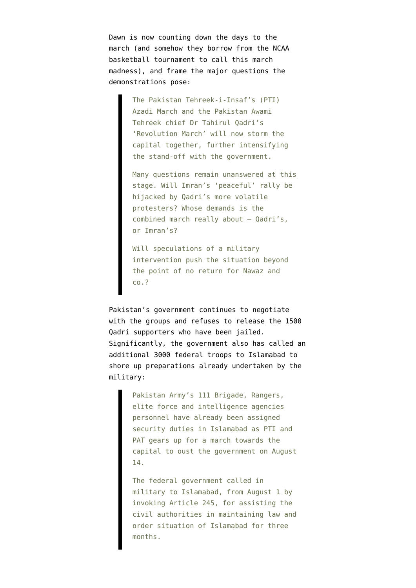Dawn is now [counting down the days to the](http://www.dawn.com/news/1124656/azadi-march-madness-3-days-to-go) [march](http://www.dawn.com/news/1124656/azadi-march-madness-3-days-to-go) (and somehow they borrow from the NCAA basketball tournament to call this march madness), and frame the major questions the demonstrations pose:

> The Pakistan Tehreek-i-Insaf's (PTI) Azadi March and the Pakistan Awami Tehreek chief Dr Tahirul Qadri's 'Revolution March' will now storm the capital together, further intensifying the stand-off with the government.

Many questions remain unanswered at this stage. Will Imran's 'peaceful' rally be hijacked by Qadri's more volatile protesters? Whose demands is the combined march really about — Qadri's, or Imran's?

Will speculations of a military intervention push the situation beyond the point of no return for Nawaz and co.?

Pakistan's government continues to [negotiate](http://tribune.com.pk/story/747053/revolution-march-govt-may-allow-qadri-but-not-minus-curbs/) [with the groups](http://tribune.com.pk/story/747053/revolution-march-govt-may-allow-qadri-but-not-minus-curbs/) and refuses to release the 1500 Qadri supporters who have been jailed. Significantly, the government also has [called an](http://www.pakistantoday.com.pk/2014/08/11/city/islamabad/3000-fc-troops-called-to-guard-islamabad/) [additional 3000 federal troops to Islamabad](http://www.pakistantoday.com.pk/2014/08/11/city/islamabad/3000-fc-troops-called-to-guard-islamabad/) to shore up preparations already undertaken by the military:

> Pakistan Army's 111 Brigade, Rangers, elite force and intelligence agencies personnel have already been assigned security duties in Islamabad as PTI and PAT gears up for a march towards the capital to oust the government on August 14.

> The federal government called in military to Islamabad, from August 1 by invoking Article 245, for assisting the civil authorities in maintaining law and order situation of Islamabad for three months.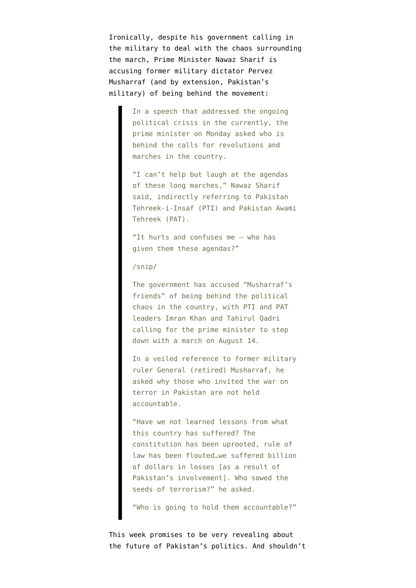Ironically, despite his government calling in the military to deal with the chaos surrounding the march, [Prime Minister Nawaz Sharif is](http://www.dawn.com/news/1124660/who-is-orchestrating-long-marches-questions-nawaz-sharif) [accusing former military dictator Pervez](http://www.dawn.com/news/1124660/who-is-orchestrating-long-marches-questions-nawaz-sharif) [Musharraf \(](http://www.dawn.com/news/1124660/who-is-orchestrating-long-marches-questions-nawaz-sharif)and by extension, Pakistan's military) of being behind the movement:

> In a speech that addressed the ongoing political crisis in the currently, the prime minister on Monday asked who is behind the calls for revolutions and marches in the country.

"I can't help but laugh at the agendas of these long marches," Nawaz Sharif said, indirectly referring to Pakistan Tehreek-i-Insaf (PTI) and Pakistan Awami Tehreek (PAT).

"It hurts and confuses me – who has given them these agendas?"

/snip/

The government has accused "Musharraf's friends" of being behind the political chaos in the country, with PTI and PAT leaders Imran Khan and Tahirul Qadri calling for the prime minister to step down with a march on August 14.

In a veiled reference to former military ruler General (retired) Musharraf, he asked why those who invited the war on terror in Pakistan are not held accountable.

"Have we not learned lessons from what this country has suffered? The constitution has been uprooted, rule of law has been flouted…we suffered billion of dollars in losses [as a result of Pakistan's involvement]. Who sowed the seeds of terrorism?" he asked.

"Who is going to hold them accountable?"

This week promises to be very revealing about the future of Pakistan's politics. And shouldn't